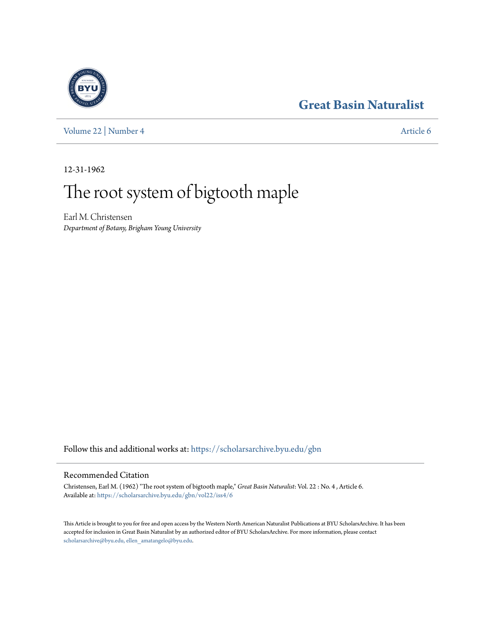## **[Great Basin Naturalist](https://scholarsarchive.byu.edu/gbn?utm_source=scholarsarchive.byu.edu%2Fgbn%2Fvol22%2Fiss4%2F6&utm_medium=PDF&utm_campaign=PDFCoverPages)**

[Volume 22](https://scholarsarchive.byu.edu/gbn/vol22?utm_source=scholarsarchive.byu.edu%2Fgbn%2Fvol22%2Fiss4%2F6&utm_medium=PDF&utm_campaign=PDFCoverPages) | [Number 4](https://scholarsarchive.byu.edu/gbn/vol22/iss4?utm_source=scholarsarchive.byu.edu%2Fgbn%2Fvol22%2Fiss4%2F6&utm_medium=PDF&utm_campaign=PDFCoverPages) [Article 6](https://scholarsarchive.byu.edu/gbn/vol22/iss4/6?utm_source=scholarsarchive.byu.edu%2Fgbn%2Fvol22%2Fiss4%2F6&utm_medium=PDF&utm_campaign=PDFCoverPages)

12-31-1962

# The root system of bigtooth maple

Earl M. Christensen *Department of Botany, Brigham Young University*

Follow this and additional works at: [https://scholarsarchive.byu.edu/gbn](https://scholarsarchive.byu.edu/gbn?utm_source=scholarsarchive.byu.edu%2Fgbn%2Fvol22%2Fiss4%2F6&utm_medium=PDF&utm_campaign=PDFCoverPages)

### Recommended Citation

Christensen, Earl M. (1962) "The root system of bigtooth maple," *Great Basin Naturalist*: Vol. 22 : No. 4 , Article 6. Available at: [https://scholarsarchive.byu.edu/gbn/vol22/iss4/6](https://scholarsarchive.byu.edu/gbn/vol22/iss4/6?utm_source=scholarsarchive.byu.edu%2Fgbn%2Fvol22%2Fiss4%2F6&utm_medium=PDF&utm_campaign=PDFCoverPages)

This Article is brought to you for free and open access by the Western North American Naturalist Publications at BYU ScholarsArchive. It has been accepted for inclusion in Great Basin Naturalist by an authorized editor of BYU ScholarsArchive. For more information, please contact [scholarsarchive@byu.edu, ellen\\_amatangelo@byu.edu.](mailto:scholarsarchive@byu.edu,%20ellen_amatangelo@byu.edu)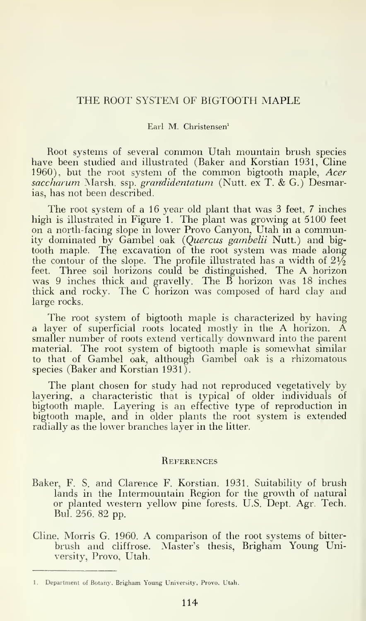#### THE ROOT SYSTEM OF BIGTOOTH MAPLE

#### Earl M. Christensen'

Root systems of several common Utah mountain brush species have been studied and illustrated (Baker and Korstian 1931, Cline 1960), but the root system of the common bigtooth maple, Acer saccharum Marsh, ssp. grandidentatum (Nutt. ex T. & G.) Desmarias, has not been described.

The root system of a 16 year old plant that was 3 feet, <sup>7</sup> inches high is illustrated in Figure 1. The plant was growing at 5100 feet on a north- facing slope in lower Provo Canyon, Utah in a community dominated by Gambel oak (Quercus gambelii Nutt.) and bigtooth maple. The excavation of the root system was made along the contour of the slope. The profile illustrated has a width of  $2\frac{1}{2}$ <br>feet. Three soil horizons could be distinguished. The A horizon was 9 inches thick and gravelly. The B horizon was 18 inches thick and rocky. The C horizon was composed of hard clay and large rocks.

The root system of bigtooth maple is characterized by having a layer of superficial roots located mostly in the A horizon. A smaller number of roots extend vertically downward into the parent material. The root system of bigtooth maple is somewhat similar to that of Gambel oak, although Gambel oak is a rhizomatous species (Baker and Korstian 1931).

The plant chosen for study had not reproduced vegetatively by layering, a characteristic that is typical of older individuals of bigtooth maple. Layering is an effective type of reproduction in bigtooth maple, and in older plants the root system is extended radially as the lower branches layer in the litter.

#### **REFERENCES**

- Baker, F. S. and Clarence F. Korstian. 1931. Suitability of brush lands in the Intermountain Region for the growth of natural or planted western yellow pine forests. U.S. Dept. Agr. Tech. Bui. 256. 82 pp.
- Cline. Morris G. 1960. A comparison of the root systems of bitter brush and cliffrose. Master's thesis, Brigham Young University, Provo, Utah.

<sup>1.</sup> Department of Botany, Brigham Young University. Provo. Utah.